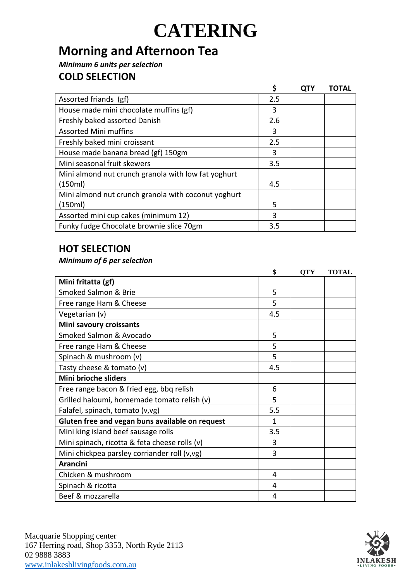## **Morning and Afternoon Tea**

*Minimum 6 units per selection*

## **COLD SELECTION**

|                                                     | \$  | <b>QTY</b> | <b>TOTAL</b> |
|-----------------------------------------------------|-----|------------|--------------|
| Assorted friands (gf)                               | 2.5 |            |              |
| House made mini chocolate muffins (gf)              | 3   |            |              |
| Freshly baked assorted Danish                       | 2.6 |            |              |
| <b>Assorted Mini muffins</b>                        | 3   |            |              |
| Freshly baked mini croissant                        | 2.5 |            |              |
| House made banana bread (gf) 150gm                  | 3   |            |              |
| Mini seasonal fruit skewers                         | 3.5 |            |              |
| Mini almond nut crunch granola with low fat yoghurt |     |            |              |
| (150ml)                                             | 4.5 |            |              |
| Mini almond nut crunch granola with coconut yoghurt |     |            |              |
| (150ml)                                             | 5   |            |              |
| Assorted mini cup cakes (minimum 12)                | 3   |            |              |
| Funky fudge Chocolate brownie slice 70gm            | 3.5 |            |              |

## **HOT SELECTION**

### *Minimum of 6 per selection*

|                                                 | \$           | <b>QTY</b> | <b>TOTAL</b> |
|-------------------------------------------------|--------------|------------|--------------|
| Mini fritatta (gf)                              |              |            |              |
| Smoked Salmon & Brie                            | 5            |            |              |
| Free range Ham & Cheese                         | 5            |            |              |
| Vegetarian (v)                                  | 4.5          |            |              |
| Mini savoury croissants                         |              |            |              |
| Smoked Salmon & Avocado                         | 5            |            |              |
| Free range Ham & Cheese                         | 5            |            |              |
| Spinach & mushroom (v)                          | 5            |            |              |
| Tasty cheese & tomato (v)                       | 4.5          |            |              |
| Mini brioche sliders                            |              |            |              |
| Free range bacon & fried egg, bbq relish        | 6            |            |              |
| Grilled haloumi, homemade tomato relish (v)     | 5            |            |              |
| Falafel, spinach, tomato (v,vg)                 | 5.5          |            |              |
| Gluten free and vegan buns available on request | $\mathbf{1}$ |            |              |
| Mini king island beef sausage rolls             | 3.5          |            |              |
| Mini spinach, ricotta & feta cheese rolls (v)   | 3            |            |              |
| Mini chickpea parsley corriander roll (v,vg)    | 3            |            |              |
| <b>Arancini</b>                                 |              |            |              |
| Chicken & mushroom                              | 4            |            |              |
| Spinach & ricotta                               | 4            |            |              |
| Beef & mozzarella                               | 4            |            |              |

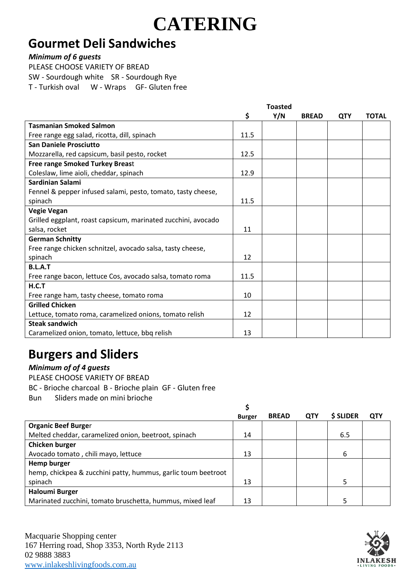## **Gourmet Deli Sandwiches**

#### *Minimum of 6 guests*

PLEASE CHOOSE VARIETY OF BREAD SW - Sourdough white SR - Sourdough Rye T - Turkish oval W - Wraps GF- Gluten free

|                                                               |      | <b>Toasted</b> |              |            |              |
|---------------------------------------------------------------|------|----------------|--------------|------------|--------------|
|                                                               | \$   | Y/N            | <b>BREAD</b> | <b>QTY</b> | <b>TOTAL</b> |
| <b>Tasmanian Smoked Salmon</b>                                |      |                |              |            |              |
| Free range egg salad, ricotta, dill, spinach                  | 11.5 |                |              |            |              |
| <b>San Daniele Prosciutto</b>                                 |      |                |              |            |              |
| Mozzarella, red capsicum, basil pesto, rocket                 | 12.5 |                |              |            |              |
| <b>Free range Smoked Turkey Breast</b>                        |      |                |              |            |              |
| Coleslaw, lime aioli, cheddar, spinach                        | 12.9 |                |              |            |              |
| Sardinian Salami                                              |      |                |              |            |              |
| Fennel & pepper infused salami, pesto, tomato, tasty cheese,  |      |                |              |            |              |
| spinach                                                       | 11.5 |                |              |            |              |
| <b>Vegie Vegan</b>                                            |      |                |              |            |              |
| Grilled eggplant, roast capsicum, marinated zucchini, avocado |      |                |              |            |              |
| salsa, rocket                                                 | 11   |                |              |            |              |
| <b>German Schnitty</b>                                        |      |                |              |            |              |
| Free range chicken schnitzel, avocado salsa, tasty cheese,    |      |                |              |            |              |
| spinach                                                       | 12   |                |              |            |              |
| <b>B.L.A.T</b>                                                |      |                |              |            |              |
| Free range bacon, lettuce Cos, avocado salsa, tomato roma     | 11.5 |                |              |            |              |
| H.C.T                                                         |      |                |              |            |              |
| Free range ham, tasty cheese, tomato roma                     | 10   |                |              |            |              |
| <b>Grilled Chicken</b>                                        |      |                |              |            |              |
| Lettuce, tomato roma, caramelized onions, tomato relish       | 12   |                |              |            |              |
| <b>Steak sandwich</b>                                         |      |                |              |            |              |
| Caramelized onion, tomato, lettuce, bbq relish                | 13   |                |              |            |              |

## **Burgers and Sliders**

### *Minimum of of 4 guests*

PLEASE CHOOSE VARIETY OF BREAD

BC - Brioche charcoal B - Brioche plain GF - Gluten free

Bun Sliders made on mini brioche

|                                                               | <b>Burger</b> | <b>BREAD</b> | <b>QTY</b> | \$ SLIDER | <b>QTY</b> |
|---------------------------------------------------------------|---------------|--------------|------------|-----------|------------|
| <b>Organic Beef Burger</b>                                    |               |              |            |           |            |
| Melted cheddar, caramelized onion, beetroot, spinach          | 14            |              |            | 6.5       |            |
| Chicken burger                                                |               |              |            |           |            |
| Avocado tomato, chili mayo, lettuce                           | 13            |              |            | 6         |            |
| Hemp burger                                                   |               |              |            |           |            |
| hemp, chickpea & zucchini patty, hummus, garlic toum beetroot |               |              |            |           |            |
| spinach                                                       | 13            |              |            |           |            |
| <b>Haloumi Burger</b>                                         |               |              |            |           |            |
| Marinated zucchini, tomato bruschetta, hummus, mixed leaf     | 13            |              |            |           |            |

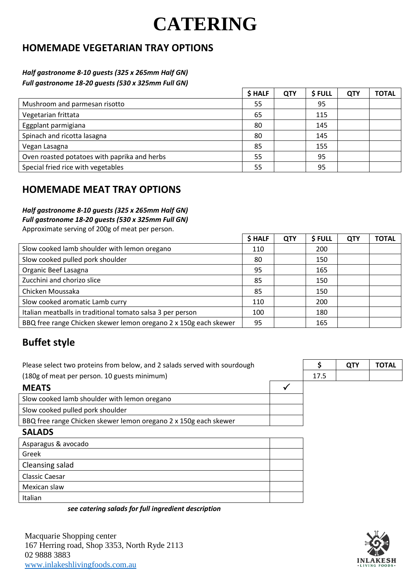## **HOMEMADE VEGETARIAN TRAY OPTIONS**

#### *Half gastronome 8-10 guests (325 x 265mm Half GN) Full gastronome 18-20 guests (530 x 325mm Full GN)*

| \$ HALF | <b>QTY</b> | \$FULL | <b>QTY</b> | <b>TOTAL</b> |
|---------|------------|--------|------------|--------------|
| 55      |            | 95     |            |              |
| 65      |            | 115    |            |              |
| 80      |            | 145    |            |              |
| 80      |            | 145    |            |              |
| 85      |            | 155    |            |              |
| 55      |            | 95     |            |              |
| 55      |            | 95     |            |              |
|         |            |        |            |              |

### **HOMEMADE MEAT TRAY OPTIONS**

#### *Half gastronome 8-10 guests (325 x 265mm Half GN)*

*Full gastronome 18-20 guests (530 x 325mm Full GN)*

Approximate serving of 200g of meat per person.

|                                                                  | \$ HALF | <b>QTY</b> | \$ FULL | <b>QTY</b> | <b>TOTAL</b> |
|------------------------------------------------------------------|---------|------------|---------|------------|--------------|
| Slow cooked lamb shoulder with lemon oregano                     | 110     |            | 200     |            |              |
| Slow cooked pulled pork shoulder                                 | 80      |            | 150     |            |              |
| Organic Beef Lasagna                                             | 95      |            | 165     |            |              |
| Zucchini and chorizo slice                                       | 85      |            | 150     |            |              |
| Chicken Moussaka                                                 | 85      |            | 150     |            |              |
| Slow cooked aromatic Lamb curry                                  | 110     |            | 200     |            |              |
| Italian meatballs in traditional tomato salsa 3 per person       | 100     |            | 180     |            |              |
| BBQ free range Chicken skewer lemon oregano 2 x 150g each skewer | 95      |            | 165     |            |              |

## **Buffet style**

| Please select two proteins from below, and 2 salads served with sourdough |              | Ś    | <b>QTY</b> | <b>TOTAL</b> |
|---------------------------------------------------------------------------|--------------|------|------------|--------------|
| (180g of meat per person. 10 guests minimum)                              |              | 17.5 |            |              |
| <b>MEATS</b>                                                              | $\checkmark$ |      |            |              |
| Slow cooked lamb shoulder with lemon oregano                              |              |      |            |              |
| Slow cooked pulled pork shoulder                                          |              |      |            |              |
| BBQ free range Chicken skewer lemon oregano 2 x 150g each skewer          |              |      |            |              |
| <b>SALADS</b>                                                             |              |      |            |              |
| Asparagus & avocado                                                       |              |      |            |              |
| Greek                                                                     |              |      |            |              |
| Cleansing salad                                                           |              |      |            |              |
| Classic Caesar                                                            |              |      |            |              |
| Mexican slaw                                                              |              |      |            |              |
| Italian                                                                   |              |      |            |              |

*see catering salads for full ingredient description*

Macquarie Shopping center 167 Herring road, Shop 3353, North Ryde 2113 02 9888 3883 [www.inlakeshlivingfoods.com.au](http://www.inlakeshlivingfoods.com.au/)

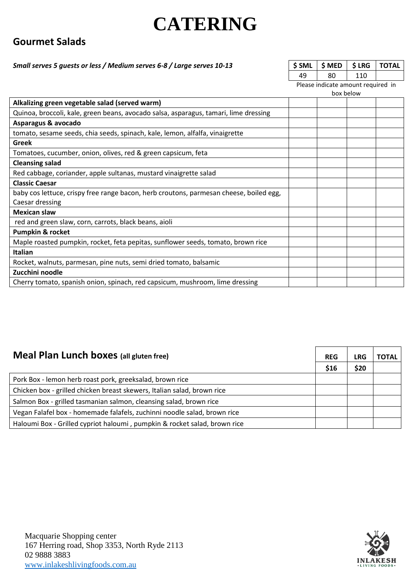### **Gourmet Salads**

#### **Small serves 5 guests or less / Medium serves 6-8 / Large serves 10-13**

| SSML SMED SLRG TOTAL |      |  |
|----------------------|------|--|
| Ջበ                   | 11 N |  |

Please indicate amount required in

|  | box below |  |
|--|-----------|--|
|  |           |  |

| Alkalizing green vegetable salad (served warm)                                         |  |  |
|----------------------------------------------------------------------------------------|--|--|
| Quinoa, broccoli, kale, green beans, avocado salsa, asparagus, tamari, lime dressing   |  |  |
| Asparagus & avocado                                                                    |  |  |
| tomato, sesame seeds, chia seeds, spinach, kale, lemon, alfalfa, vinaigrette           |  |  |
| Greek                                                                                  |  |  |
| Tomatoes, cucumber, onion, olives, red & green capsicum, feta                          |  |  |
| <b>Cleansing salad</b>                                                                 |  |  |
| Red cabbage, coriander, apple sultanas, mustard vinaigrette salad                      |  |  |
| <b>Classic Caesar</b>                                                                  |  |  |
| baby cos lettuce, crispy free range bacon, herb croutons, parmesan cheese, boiled egg, |  |  |
| Caesar dressing                                                                        |  |  |
| <b>Mexican slaw</b>                                                                    |  |  |
| red and green slaw, corn, carrots, black beans, aioli                                  |  |  |
| <b>Pumpkin &amp; rocket</b>                                                            |  |  |
| Maple roasted pumpkin, rocket, feta pepitas, sunflower seeds, tomato, brown rice       |  |  |
| <b>Italian</b>                                                                         |  |  |
| Rocket, walnuts, parmesan, pine nuts, semi dried tomato, balsamic                      |  |  |
| Zucchini noodle                                                                        |  |  |
| Cherry tomato, spanish onion, spinach, red capsicum, mushroom, lime dressing           |  |  |
|                                                                                        |  |  |

| <b>Meal Plan Lunch boxes</b> (all gluten free)                            |      | LRG  | TOTAL |
|---------------------------------------------------------------------------|------|------|-------|
|                                                                           | \$16 | \$20 |       |
| Pork Box - lemon herb roast pork, greeksalad, brown rice                  |      |      |       |
| Chicken box - grilled chicken breast skewers, Italian salad, brown rice   |      |      |       |
| Salmon Box - grilled tasmanian salmon, cleansing salad, brown rice        |      |      |       |
| Vegan Falafel box - homemade falafels, zuchinni noodle salad, brown rice  |      |      |       |
| Haloumi Box - Grilled cypriot haloumi, pumpkin & rocket salad, brown rice |      |      |       |

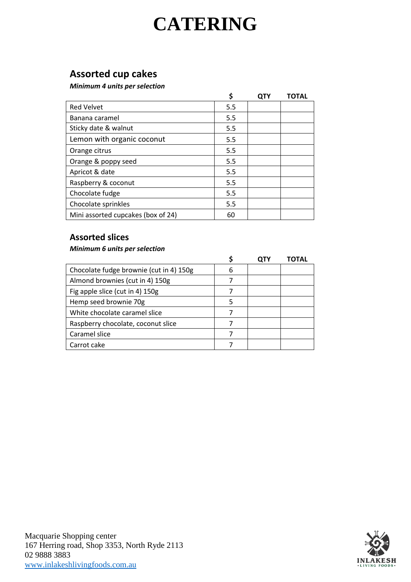## **Assorted cup cakes**

*Minimum 4 units per selection*

|                                    | \$  | <b>QTY</b> | <b>TOTAL</b> |
|------------------------------------|-----|------------|--------------|
| <b>Red Velvet</b>                  | 5.5 |            |              |
| Banana caramel                     | 5.5 |            |              |
| Sticky date & walnut               | 5.5 |            |              |
| Lemon with organic coconut         | 5.5 |            |              |
| Orange citrus                      | 5.5 |            |              |
| Orange & poppy seed                | 5.5 |            |              |
| Apricot & date                     | 5.5 |            |              |
| Raspberry & coconut                | 5.5 |            |              |
| Chocolate fudge                    | 5.5 |            |              |
| Chocolate sprinkles                | 5.5 |            |              |
| Mini assorted cupcakes (box of 24) | 60  |            |              |

### **Assorted slices**

#### *Minimum 6 units per selection*

|                                         |   | ΛΤΔΙ |
|-----------------------------------------|---|------|
| Chocolate fudge brownie (cut in 4) 150g | 6 |      |
| Almond brownies (cut in 4) 150g         |   |      |
| Fig apple slice (cut in 4) 150g         |   |      |
| Hemp seed brownie 70g                   |   |      |
| White chocolate caramel slice           |   |      |
| Raspberry chocolate, coconut slice      |   |      |
| Caramel slice                           |   |      |
| Carrot cake                             |   |      |

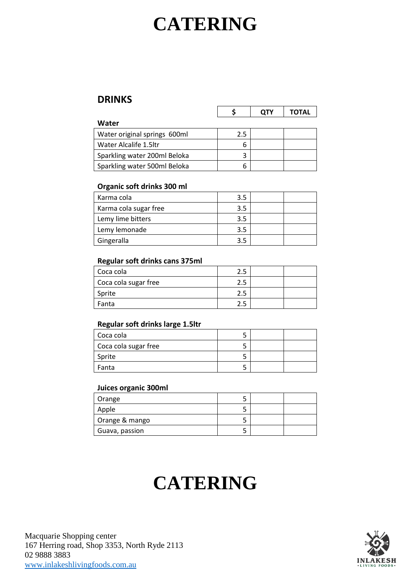### **DRINKS**

|                              |     | <b>QTY</b> | <b>TOTAL</b> |
|------------------------------|-----|------------|--------------|
| Water                        |     |            |              |
| Water original springs 600ml | 2.5 |            |              |
| Water Alcalife 1.5ltr        | 6   |            |              |
| Sparkling water 200ml Beloka | 3   |            |              |
| Sparkling water 500ml Beloka | 6   |            |              |

#### **Organic soft drinks 300 ml**

| Karma cola            | 3.5 |  |
|-----------------------|-----|--|
| Karma cola sugar free | 3.5 |  |
| Lemy lime bitters     | 3.5 |  |
| Lemy lemonade         | 3.5 |  |
| Gingeralla            | 3.5 |  |

#### **Regular soft drinks cans 375ml**

| Coca cola            |  |  |
|----------------------|--|--|
| Coca cola sugar free |  |  |
| Sprite               |  |  |
| Fanta                |  |  |

#### **Regular soft drinks large 1.5ltr**

| Coca cola            |  |  |
|----------------------|--|--|
| Coca cola sugar free |  |  |
| Sprite               |  |  |
| Fanta                |  |  |

#### **Juices organic 300ml**

| Orange         |  |  |
|----------------|--|--|
| Apple          |  |  |
| Orange & mango |  |  |
| Guava, passion |  |  |

## **CATERING**